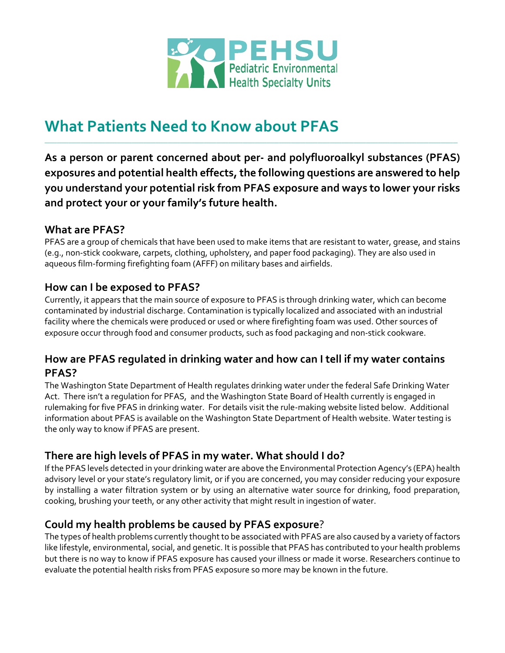

# **What Patients Need to Know about PFAS**

**As a person or parent concerned about per- and polyfluoroalkyl substances (PFAS) exposures and potential health effects, the following questions are answered to help you understand your potential risk from PFAS exposure and ways to lower your risks and protect your or your family's future health.** 

\_\_\_\_\_\_\_\_\_\_\_\_\_\_\_\_\_\_\_\_\_\_\_\_\_\_\_\_\_\_\_\_\_\_\_\_\_\_\_\_\_\_\_\_\_\_\_\_\_\_\_\_\_\_\_\_\_\_\_\_\_\_\_\_\_\_\_\_\_\_\_\_\_\_\_\_\_\_\_\_\_\_\_\_\_\_\_\_\_\_\_\_\_\_\_\_\_\_\_\_\_\_\_\_\_\_\_\_\_\_\_\_\_\_\_\_\_\_\_\_\_\_\_\_\_\_\_\_\_\_\_\_\_\_\_\_\_\_\_\_\_\_\_\_\_\_\_\_\_\_\_\_\_\_\_\_\_\_\_\_\_\_\_\_\_\_\_\_\_\_\_

#### **What are PFAS?**

PFAS are a group of chemicals that have been used to make items that are resistant to water, grease, and stains (e.g., non-stick cookware, carpets, clothing, upholstery, and paper food packaging). They are also used in aqueous film-forming firefighting foam (AFFF) on military bases and airfields.

## **How can I be exposed to PFAS?**

Currently, it appears that the main source of exposure to PFAS is through drinking water, which can become contaminated by industrial discharge. Contamination is typically localized and associated with an industrial facility where the chemicals were produced or used or where firefighting foam was used. Other sources of exposure occur through food and consumer products, such as food packaging and non-stick cookware.

#### **How are PFAS regulated in drinking water and how can I tell if my water contains PFAS?**

The Washington State Department of Health regulates drinking water under the federal Safe Drinking Water Act. There isn't a regulation for PFAS, and the Washington State Board of Health currently is engaged in rulemaking for five PFAS in drinking water. For details visit the rule-making website listed below. Additional information about PFAS is available on the Washington State Department of Health website. Water testing is the only way to know if PFAS are present.

# **There are high levels of PFAS in my water. What should I do?**

If the PFAS levels detected in your drinking water are above the Environmental Protection Agency's (EPA) health advisory level or your state's regulatory limit, or if you are concerned, you may consider reducing your exposure by installing a water filtration system or by using an alternative water source for drinking, food preparation, cooking, brushing your teeth, or any other activity that might result in ingestion of water.

#### **Could my health problems be caused by PFAS exposure**?

The types of health problems currently thought to be associated with PFAS are also caused by a variety of factors like lifestyle, environmental, social, and genetic. It is possible that PFAS has contributed to your health problems but there is no way to know if PFAS exposure has caused your illness or made it worse. Researchers continue to evaluate the potential health risks from PFAS exposure so more may be known in the future.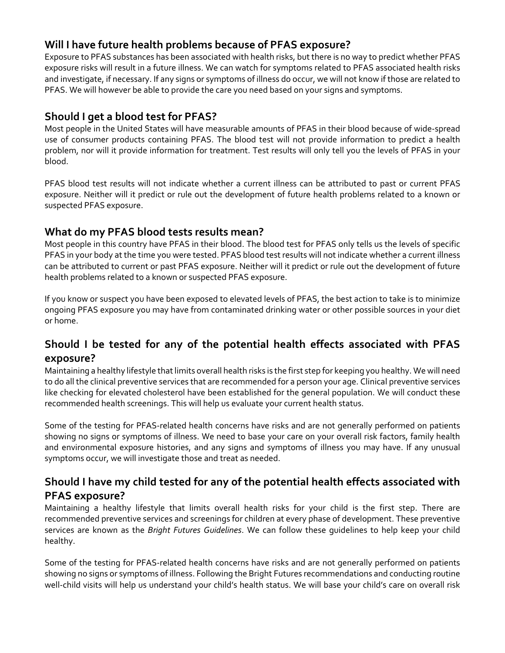## **Will I have future health problems because of PFAS exposure?**

Exposure to PFAS substances has been associated with health risks, but there is no way to predict whether PFAS exposure risks will result in a future illness. We can watch for symptoms related to PFAS associated health risks and investigate, if necessary. If any signs or symptoms of illness do occur, we will not know if those are related to PFAS. We will however be able to provide the care you need based on your signs and symptoms.

#### **Should I get a blood test for PFAS?**

Most people in the United States will have measurable amounts of PFAS in their blood because of wide-spread use of consumer products containing PFAS. The blood test will not provide information to predict a health problem, nor will it provide information for treatment. Test results will only tell you the levels of PFAS in your blood.

PFAS blood test results will not indicate whether a current illness can be attributed to past or current PFAS exposure. Neither will it predict or rule out the development of future health problems related to a known or suspected PFAS exposure.

#### **What do my PFAS blood tests results mean?**

Most people in this country have PFAS in their blood. The blood test for PFAS only tells us the levels of specific PFAS in your body at the time you were tested. PFAS blood testresults will not indicate whether a current illness can be attributed to current or past PFAS exposure. Neither will it predict or rule out the development of future health problems related to a known or suspected PFAS exposure.

If you know or suspect you have been exposed to elevated levels of PFAS, the best action to take is to minimize ongoing PFAS exposure you may have from contaminated drinking water or other possible sources in your diet or home.

## **Should I be tested for any of the potential health effects associated with PFAS exposure?**

Maintaining a healthy lifestyle that limits overall health risks is the first step for keeping you healthy. We will need to do all the clinical preventive services that are recommended for a person your age. Clinical preventive services like checking for elevated cholesterol have been established for the general population. We will conduct these recommended health screenings. This will help us evaluate your current health status.

Some of the testing for PFAS-related health concerns have risks and are not generally performed on patients showing no signs or symptoms of illness. We need to base your care on your overall risk factors, family health and environmental exposure histories, and any signs and symptoms of illness you may have. If any unusual symptoms occur, we will investigate those and treat as needed.

## **Should I have my child tested for any of the potential health effects associated with PFAS exposure?**

Maintaining a healthy lifestyle that limits overall health risks for your child is the first step. There are recommended preventive services and screenings for children at every phase of development. These preventive services are known as the *Bright Futures Guidelines*. We can follow these guidelines to help keep your child healthy.

Some of the testing for PFAS-related health concerns have risks and are not generally performed on patients showing no signs or symptoms of illness. Following the Bright Futures recommendations and conducting routine well-child visits will help us understand your child's health status. We will base your child's care on overall risk